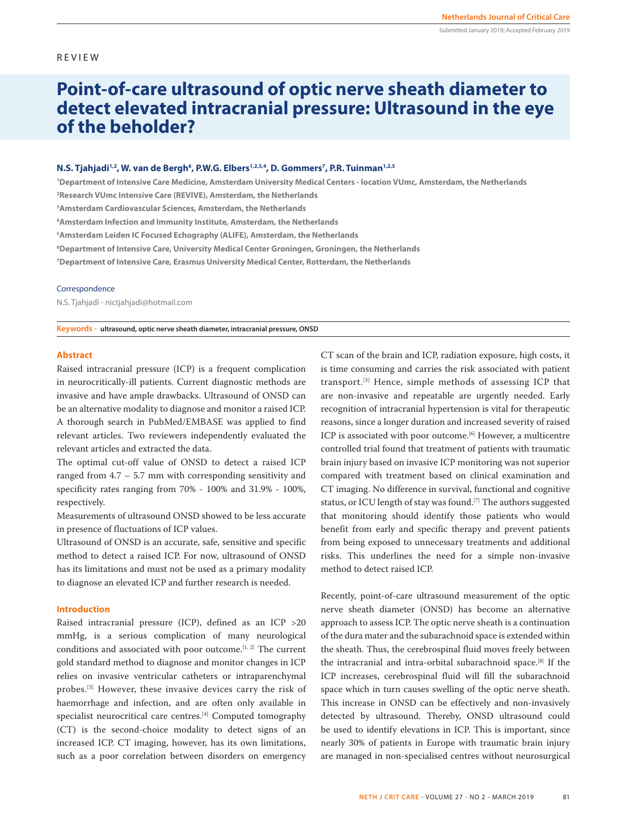# REVIEW

# **Point-of-care ultrasound of optic nerve sheath diameter to detect elevated intracranial pressure: Ultrasound in the eye of the beholder?**

## **N.S. Tjahjadi12, W. van de Bergh<sup>6</sup>, P.W.G. Elbers<sup>1,2,3,4</sup>, D. Gommers<sup>7</sup>, P.R. Tuinman<sup>1,2,5</sup>**

**1 Department of Intensive Care Medicine, Amsterdam University Medical Centers - location VUmc, Amsterdam, the Netherlands 2 Research VUmc Intensive Care (REVIVE), Amsterdam, the Netherlands 3 Amsterdam Cardiovascular Sciences, Amsterdam, the Netherlands**

**4 Amsterdam Infection and Immunity Institute, Amsterdam, the Netherlands**

**5 Amsterdam Leiden IC Focused Echography (ALIFE), Amsterdam, the Netherlands**

**6 Department of Intensive Care, University Medical Center Groningen, Groningen, the Netherlands**

**7 Department of Intensive Care, Erasmus University Medical Center, Rotterdam, the Netherlands**

#### Correspondence

N.S. Tjahjadi - nictjahjadi@hotmail.com

**Keywords - ultrasound, optic nerve sheath diameter, intracranial pressure, ONSD**

## **Abstract**

Raised intracranial pressure (ICP) is a frequent complication in neurocritically-ill patients. Current diagnostic methods are invasive and have ample drawbacks. Ultrasound of ONSD can be an alternative modality to diagnose and monitor a raised ICP. A thorough search in PubMed/EMBASE was applied to find relevant articles. Two reviewers independently evaluated the relevant articles and extracted the data.

The optimal cut-off value of ONSD to detect a raised ICP ranged from  $4.7 - 5.7$  mm with corresponding sensitivity and specificity rates ranging from 70% - 100% and 31.9% - 100%, respectively.

Measurements of ultrasound ONSD showed to be less accurate in presence of fluctuations of ICP values.

Ultrasound of ONSD is an accurate, safe, sensitive and specific method to detect a raised ICP. For now, ultrasound of ONSD has its limitations and must not be used as a primary modality to diagnose an elevated ICP and further research is needed.

#### **Introduction**

Raised intracranial pressure (ICP), defined as an ICP >20 mmHg, is a serious complication of many neurological conditions and associated with poor outcome.<sup>[1, 2]</sup> The current gold standard method to diagnose and monitor changes in ICP relies on invasive ventricular catheters or intraparenchymal probes.[3] However, these invasive devices carry the risk of haemorrhage and infection, and are often only available in specialist neurocritical care centres.[4] Computed tomography (CT) is the second-choice modality to detect signs of an increased ICP. CT imaging, however, has its own limitations, such as a poor correlation between disorders on emergency CT scan of the brain and ICP, radiation exposure, high costs, it is time consuming and carries the risk associated with patient transport.[5] Hence, simple methods of assessing ICP that are non-invasive and repeatable are urgently needed. Early recognition of intracranial hypertension is vital for therapeutic reasons, since a longer duration and increased severity of raised ICP is associated with poor outcome.<sup>[6]</sup> However, a multicentre controlled trial found that treatment of patients with traumatic brain injury based on invasive ICP monitoring was not superior compared with treatment based on clinical examination and CT imaging. No difference in survival, functional and cognitive status, or ICU length of stay was found.<sup>[7]</sup> The authors suggested that monitoring should identify those patients who would benefit from early and specific therapy and prevent patients from being exposed to unnecessary treatments and additional risks. This underlines the need for a simple non-invasive method to detect raised ICP.

Recently, point-of-care ultrasound measurement of the optic nerve sheath diameter (ONSD) has become an alternative approach to assess ICP. The optic nerve sheath is a continuation of the dura mater and the subarachnoid space is extended within the sheath. Thus, the cerebrospinal fluid moves freely between the intracranial and intra-orbital subarachnoid space.[8] If the ICP increases, cerebrospinal fluid will fill the subarachnoid space which in turn causes swelling of the optic nerve sheath. This increase in ONSD can be effectively and non-invasively detected by ultrasound. Thereby, ONSD ultrasound could be used to identify elevations in ICP. This is important, since nearly 30% of patients in Europe with traumatic brain injury are managed in non-specialised centres without neurosurgical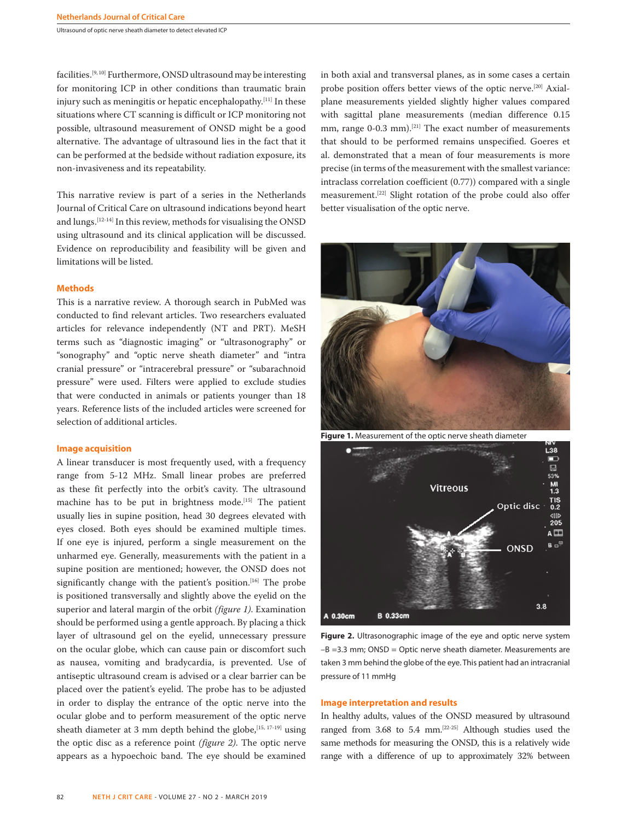facilities.[9, 10] Furthermore, ONSD ultrasound may be interesting for monitoring ICP in other conditions than traumatic brain injury such as meningitis or hepatic encephalopathy.[11] In these situations where CT scanning is difficult or ICP monitoring not possible, ultrasound measurement of ONSD might be a good alternative. The advantage of ultrasound lies in the fact that it can be performed at the bedside without radiation exposure, its non-invasiveness and its repeatability.

This narrative review is part of a series in the Netherlands Journal of Critical Care on ultrasound indications beyond heart and lungs.[12-14] In this review, methods for visualising the ONSD using ultrasound and its clinical application will be discussed. Evidence on reproducibility and feasibility will be given and limitations will be listed.

#### **Methods**

This is a narrative review. A thorough search in PubMed was conducted to find relevant articles. Two researchers evaluated articles for relevance independently (NT and PRT). MeSH terms such as "diagnostic imaging" or "ultrasonography" or "sonography" and "optic nerve sheath diameter" and "intra cranial pressure" or "intracerebral pressure" or "subarachnoid pressure" were used. Filters were applied to exclude studies that were conducted in animals or patients younger than 18 years. Reference lists of the included articles were screened for selection of additional articles.

#### **Image acquisition**

A linear transducer is most frequently used, with a frequency range from 5-12 MHz. Small linear probes are preferred as these fit perfectly into the orbit's cavity. The ultrasound machine has to be put in brightness mode.[15] The patient usually lies in supine position, head 30 degrees elevated with eyes closed. Both eyes should be examined multiple times. If one eye is injured, perform a single measurement on the unharmed eye. Generally, measurements with the patient in a supine position are mentioned; however, the ONSD does not significantly change with the patient's position.<sup>[16]</sup> The probe is positioned transversally and slightly above the eyelid on the superior and lateral margin of the orbit *(figure 1)*. Examination should be performed using a gentle approach. By placing a thick layer of ultrasound gel on the eyelid, unnecessary pressure on the ocular globe, which can cause pain or discomfort such as nausea, vomiting and bradycardia, is prevented. Use of antiseptic ultrasound cream is advised or a clear barrier can be placed over the patient's eyelid. The probe has to be adjusted in order to display the entrance of the optic nerve into the ocular globe and to perform measurement of the optic nerve sheath diameter at 3 mm depth behind the globe,  $[15, 17-19]$  using the optic disc as a reference point *(figure 2)*. The optic nerve appears as a hypoechoic band. The eye should be examined in both axial and transversal planes, as in some cases a certain probe position offers better views of the optic nerve.[20] Axialplane measurements yielded slightly higher values compared with sagittal plane measurements (median difference 0.15 mm, range 0-0.3 mm).<sup>[21]</sup> The exact number of measurements that should to be performed remains unspecified. Goeres et al. demonstrated that a mean of four measurements is more precise (in terms of the measurement with the smallest variance: intraclass correlation coefficient (0.77)) compared with a single measurement.[22] Slight rotation of the probe could also offer better visualisation of the optic nerve.



**Figure 1.** Measurement of the optic nerve sheath diameter



**Figure 2.** Ultrasonographic image of the eye and optic nerve system –B =3.3 mm; ONSD = Optic nerve sheath diameter. Measurements are taken 3 mm behind the globe of the eye. This patient had an intracranial pressure of 11 mmHg

### **Image interpretation and results**

In healthy adults, values of the ONSD measured by ultrasound ranged from  $3.68$  to  $5.4$  mm.<sup>[22-25]</sup> Although studies used the same methods for measuring the ONSD, this is a relatively wide range with a difference of up to approximately 32% between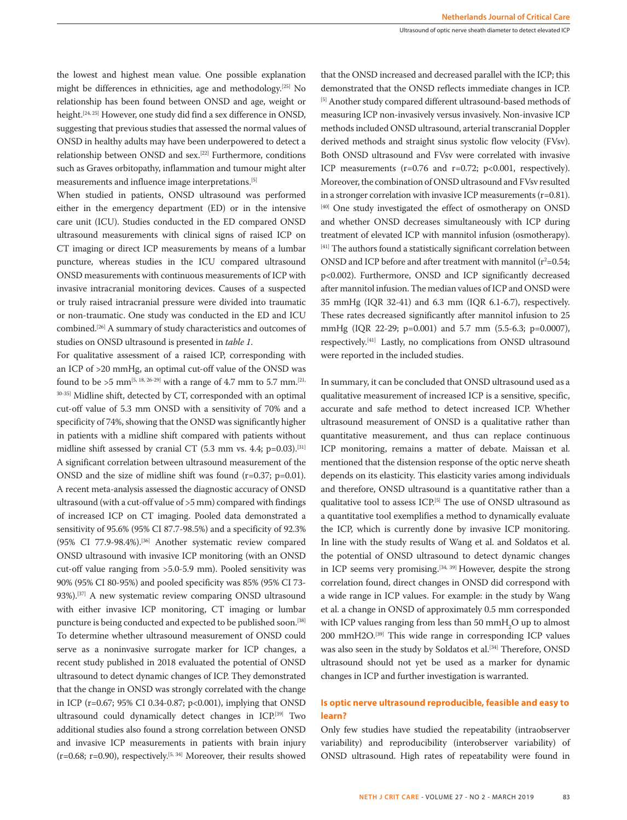Ultrasound of optic nerve sheath diameter to detect elevated ICP

the lowest and highest mean value. One possible explanation might be differences in ethnicities, age and methodology.[25] No relationship has been found between ONSD and age, weight or height.<sup>[24, 25]</sup> However, one study did find a sex difference in ONSD, suggesting that previous studies that assessed the normal values of ONSD in healthy adults may have been underpowered to detect a relationship between ONSD and sex.[22] Furthermore, conditions such as Graves orbitopathy, inflammation and tumour might alter measurements and influence image interpretations.[5]

When studied in patients, ONSD ultrasound was performed either in the emergency department (ED) or in the intensive care unit (ICU). Studies conducted in the ED compared ONSD ultrasound measurements with clinical signs of raised ICP on CT imaging or direct ICP measurements by means of a lumbar puncture, whereas studies in the ICU compared ultrasound ONSD measurements with continuous measurements of ICP with invasive intracranial monitoring devices. Causes of a suspected or truly raised intracranial pressure were divided into traumatic or non-traumatic. One study was conducted in the ED and ICU combined.[26] A summary of study characteristics and outcomes of studies on ONSD ultrasound is presented in *table 1*.

For qualitative assessment of a raised ICP, corresponding with an ICP of >20 mmHg, an optimal cut-off value of the ONSD was found to be >5 mm<sup>[5, 18, 26-29]</sup> with a range of 4.7 mm to 5.7 mm.<sup>[21,</sup> 30-35] Midline shift, detected by CT, corresponded with an optimal cut-off value of 5.3 mm ONSD with a sensitivity of 70% and a specificity of 74%, showing that the ONSD was significantly higher in patients with a midline shift compared with patients without midline shift assessed by cranial CT (5.3 mm vs. 4.4;  $p=0.03$ ).<sup>[31]</sup> A significant correlation between ultrasound measurement of the ONSD and the size of midline shift was found (r=0.37; p=0.01). A recent meta-analysis assessed the diagnostic accuracy of ONSD ultrasound (with a cut-off value of >5 mm) compared with findings of increased ICP on CT imaging. Pooled data demonstrated a sensitivity of 95.6% (95% CI 87.7-98.5%) and a specificity of 92.3% (95% CI 77.9-98.4%).[36] Another systematic review compared ONSD ultrasound with invasive ICP monitoring (with an ONSD cut-off value ranging from >5.0-5.9 mm). Pooled sensitivity was 90% (95% CI 80-95%) and pooled specificity was 85% (95% CI 73- 93%).[37] A new systematic review comparing ONSD ultrasound with either invasive ICP monitoring, CT imaging or lumbar puncture is being conducted and expected to be published soon.<sup>[38]</sup> To determine whether ultrasound measurement of ONSD could serve as a noninvasive surrogate marker for ICP changes, a recent study published in 2018 evaluated the potential of ONSD ultrasound to detect dynamic changes of ICP. They demonstrated that the change in ONSD was strongly correlated with the change in ICP (r=0.67; 95% CI 0.34-0.87; p<0.001), implying that ONSD ultrasound could dynamically detect changes in ICP.[39] Two additional studies also found a strong correlation between ONSD and invasive ICP measurements in patients with brain injury ( $r=0.68$ ;  $r=0.90$ ), respectively.<sup>[5, 34]</sup> Moreover, their results showed

that the ONSD increased and decreased parallel with the ICP; this demonstrated that the ONSD reflects immediate changes in ICP. [5] Another study compared different ultrasound-based methods of measuring ICP non-invasively versus invasively. Non-invasive ICP methods included ONSD ultrasound, arterial transcranial Doppler derived methods and straight sinus systolic flow velocity (FVsv). Both ONSD ultrasound and FVsv were correlated with invasive ICP measurements  $(r=0.76$  and  $r=0.72$ ;  $p<0.001$ , respectively). Moreover, the combination of ONSD ultrasound and FVsv resulted in a stronger correlation with invasive ICP measurements (r=0.81). [40] One study investigated the effect of osmotherapy on ONSD and whether ONSD decreases simultaneously with ICP during treatment of elevated ICP with mannitol infusion (osmotherapy). [41] The authors found a statistically significant correlation between ONSD and ICP before and after treatment with mannitol  $(r^2=0.54;$ p<0.002). Furthermore, ONSD and ICP significantly decreased after mannitol infusion. The median values of ICP and ONSD were 35 mmHg (IQR 32-41) and 6.3 mm (IQR 6.1-6.7), respectively. These rates decreased significantly after mannitol infusion to 25 mmHg (IQR 22-29; p=0.001) and 5.7 mm (5.5-6.3; p=0.0007), respectively.[41] Lastly, no complications from ONSD ultrasound were reported in the included studies.

In summary, it can be concluded that ONSD ultrasound used as a qualitative measurement of increased ICP is a sensitive, specific, accurate and safe method to detect increased ICP. Whether ultrasound measurement of ONSD is a qualitative rather than quantitative measurement, and thus can replace continuous ICP monitoring, remains a matter of debate. Maissan et al. mentioned that the distension response of the optic nerve sheath depends on its elasticity. This elasticity varies among individuals and therefore, ONSD ultrasound is a quantitative rather than a qualitative tool to assess ICP.<sup>[5]</sup> The use of ONSD ultrasound as a quantitative tool exemplifies a method to dynamically evaluate the ICP, which is currently done by invasive ICP monitoring. In line with the study results of Wang et al. and Soldatos et al. the potential of ONSD ultrasound to detect dynamic changes in ICP seems very promising.<sup>[34, 39]</sup> However, despite the strong correlation found, direct changes in ONSD did correspond with a wide range in ICP values. For example: in the study by Wang et al. a change in ONSD of approximately 0.5 mm corresponded with ICP values ranging from less than 50 mm $H_2O$  up to almost 200 mmH2O.[39] This wide range in corresponding ICP values was also seen in the study by Soldatos et al.<sup>[34]</sup> Therefore, ONSD ultrasound should not yet be used as a marker for dynamic changes in ICP and further investigation is warranted.

# **Is optic nerve ultrasound reproducible, feasible and easy to learn?**

Only few studies have studied the repeatability (intraobserver variability) and reproducibility (interobserver variability) of ONSD ultrasound. High rates of repeatability were found in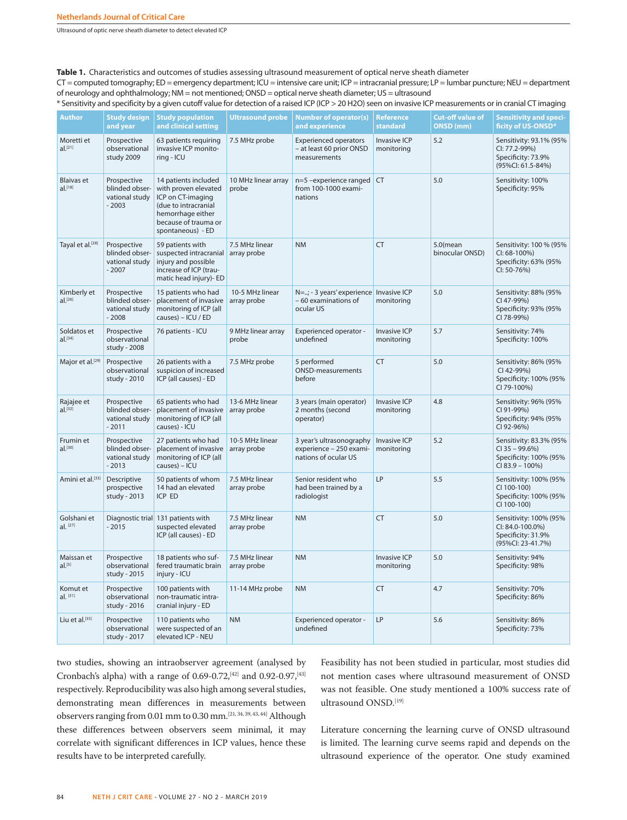Ultrasound of optic nerve sheath diameter to detect elevated ICP

**Table 1.** Characteristics and outcomes of studies assessing ultrasound measurement of optical nerve sheath diameter

CT = computed tomography; ED = emergency department; ICU = intensive care unit; ICP = intracranial pressure; LP = lumbar puncture; NEU = department of neurology and ophthalmology; NM = not mentioned; ONSD = optical nerve sheath diameter; US = ultrasound

\* Sensitivity and specificity by a given cutoff value for detection of a raised ICP (ICP > 20 H2O) seen on invasive ICP measurements or in cranial CT imaging

| <b>Author</b>                              | <b>Study design</b><br>and year                            | <b>Study population</b><br>and clinical setting                                                                                                             | <b>Ultrasound probe</b>        | <b>Number of operator(s)</b><br>and experience                              | <b>Reference</b><br><b>standard</b> | <b>Cut-off value of</b><br>ONSD (mm) | <b>Sensitivity and speci-</b><br>ficity of US-ONSD*                                         |
|--------------------------------------------|------------------------------------------------------------|-------------------------------------------------------------------------------------------------------------------------------------------------------------|--------------------------------|-----------------------------------------------------------------------------|-------------------------------------|--------------------------------------|---------------------------------------------------------------------------------------------|
| Moretti et<br>$al.$ <sup>[21]</sup>        | Prospective<br>observational<br>study 2009                 | 63 patients requiring<br>invasive ICP monito-<br>ring - ICU                                                                                                 | 7.5 MHz probe                  | <b>Experienced operators</b><br>- at least 60 prior ONSD<br>measurements    | <b>Invasive ICP</b><br>monitoring   | 5.2                                  | Sensitivity: 93.1% (95%<br>CI: 77.2-99%)<br>Specificity: 73.9%<br>(95%Cl: 61.5-84%)         |
| <b>Blaivas</b> et<br>$al.$ <sup>[18]</sup> | Prospective<br>blinded obser-<br>vational study<br>$-2003$ | 14 patients included<br>with proven elevated<br>ICP on CT-imaging<br>(due to intracranial<br>hemorrhage either<br>because of trauma or<br>spontaneous) - ED | 10 MHz linear array<br>probe   | n=5 -experience ranged CT<br>from 100-1000 exami-<br>nations                |                                     | 5.0                                  | Sensitivity: 100%<br>Specificity: 95%                                                       |
| Tayal et al.[28]                           | Prospective<br>blinded obser-<br>vational study<br>$-2007$ | 59 patients with<br>suspected intracranial<br>injury and possible<br>increase of ICP (trau-<br>matic head injury)- ED                                       | 7.5 MHz linear<br>array probe  | <b>NM</b>                                                                   | <b>CT</b>                           | $5.0$ (mean<br>binocular ONSD)       | Sensitivity: 100 % (95%<br>CI: 68-100%)<br>Specificity: 63% (95%<br>CI: 50-76%)             |
| Kimberly et<br>$al.$ [26]                  | Prospective<br>blinded obser-<br>vational study<br>$-2008$ | 15 patients who had<br>placement of invasive<br>monitoring of ICP (all<br>causes) – ICU / ED                                                                | 10-5 MHz linear<br>array probe | N=; - 3 years' experience Invasive ICP<br>- 60 examinations of<br>ocular US | monitoring                          | 5.0                                  | Sensitivity: 88% (95%<br>CI 47-99%)<br>Specificity: 93% (95%<br>CI 78-99%)                  |
| Soldatos et<br>$al.$ [34]                  | Prospective<br>observational<br>study - 2008               | 76 patients - ICU                                                                                                                                           | 9 MHz linear array<br>probe    | Experienced operator -<br>undefined                                         | <b>Invasive ICP</b><br>monitoring   | 5.7                                  | Sensitivity: 74%<br>Specificity: 100%                                                       |
| Major et al. <sup>[29]</sup>               | Prospective<br>observational<br>study - 2010               | 26 patients with a<br>suspicion of increased<br>ICP (all causes) - ED                                                                                       | 7.5 MHz probe                  | 5 performed<br><b>ONSD-measurements</b><br>before                           | <b>CT</b>                           | 5.0                                  | Sensitivity: 86% (95%<br>CI 42-99%)<br>Specificity: 100% (95%<br>CI 79-100%)                |
| Rajajee et<br>al. <sup>[32]</sup>          | Prospective<br>blinded obser-<br>vational study<br>$-2011$ | 65 patients who had<br>placement of invasive<br>monitoring of ICP (all<br>causes) - ICU                                                                     | 13-6 MHz linear<br>array probe | 3 years (main operator)<br>2 months (second<br>operator)                    | <b>Invasive ICP</b><br>monitoring   | 4.8                                  | Sensitivity: 96% (95%<br>CI 91-99%)<br>Specificity: 94% (95%<br>CI 92-96%)                  |
| Frumin et<br>$al.$ [30]                    | Prospective<br>blinded obser-<br>vational study<br>$-2013$ | 27 patients who had<br>placement of invasive<br>monitoring of ICP (all<br>causes) - ICU                                                                     | 10-5 MHz linear<br>array probe | 3 year's ultrasonography<br>experience - 250 exami-<br>nations of ocular US | <b>Invasive ICP</b><br>monitoring   | 5.2                                  | Sensitivity: 83.3% (95%<br>$CI$ 35 - 99.6%)<br>Specificity: 100% (95%<br>$CI 83.9 - 100\%)$ |
| Amini et al. <sup>[33]</sup>               | Descriptive<br>prospective<br>study - 2013                 | 50 patients of whom<br>14 had an elevated<br>ICP ED                                                                                                         | 7.5 MHz linear<br>array probe  | Senior resident who<br>had been trained by a<br>radiologist                 | LP                                  | 5.5                                  | Sensitivity: 100% (95%<br>CI 100-100)<br>Specificity: 100% (95%<br>CI 100-100)              |
| Golshani et<br>$al.$ [27]                  | $-2015$                                                    | Diagnostic trial 131 patients with<br>suspected elevated<br>ICP (all causes) - ED                                                                           | 7.5 MHz linear<br>array probe  | <b>NM</b>                                                                   | <b>CT</b>                           | 5.0                                  | Sensitivity: 100% (95%<br>CI: 84.0-100.0%)<br>Specificity: 31.9%<br>(95%Cl: 23-41.7%)       |
| Maissan et<br>$al.$ <sup>[5]</sup>         | Prospective<br>observational<br>study - 2015               | 18 patients who suf-<br>fered traumatic brain<br>injury - ICU                                                                                               | 7.5 MHz linear<br>array probe  | <b>NM</b>                                                                   | Invasive ICP<br>monitoring          | 5.0                                  | Sensitivity: 94%<br>Specificity: 98%                                                        |
| Komut et<br>$al.$ [31]                     | Prospective<br>observational<br>study - 2016               | 100 patients with<br>non-traumatic intra-<br>cranial injury - ED                                                                                            | 11-14 MHz probe                | <b>NM</b>                                                                   | <b>CT</b>                           | 4.7                                  | Sensitivity: 70%<br>Specificity: 86%                                                        |
| Liu et al.[35]                             | Prospective<br>observational<br>study - 2017               | 110 patients who<br>were suspected of an<br>elevated ICP - NEU                                                                                              | <b>NM</b>                      | Experienced operator -<br>undefined                                         | LP                                  | 5.6                                  | Sensitivity: 86%<br>Specificity: 73%                                                        |

two studies, showing an intraobserver agreement (analysed by Cronbach's alpha) with a range of  $0.69$ -0.72,<sup>[42]</sup> and  $0.92$ -0.97,<sup>[43]</sup> respectively. Reproducibility was also high among several studies, demonstrating mean differences in measurements between observers ranging from 0.01 mm to 0.30 mm.[21, 34, 39, 43, 44] Although these differences between observers seem minimal, it may correlate with significant differences in ICP values, hence these results have to be interpreted carefully.

Feasibility has not been studied in particular, most studies did not mention cases where ultrasound measurement of ONSD was not feasible. One study mentioned a 100% success rate of ultrasound ONSD.[19]

Literature concerning the learning curve of ONSD ultrasound is limited. The learning curve seems rapid and depends on the ultrasound experience of the operator. One study examined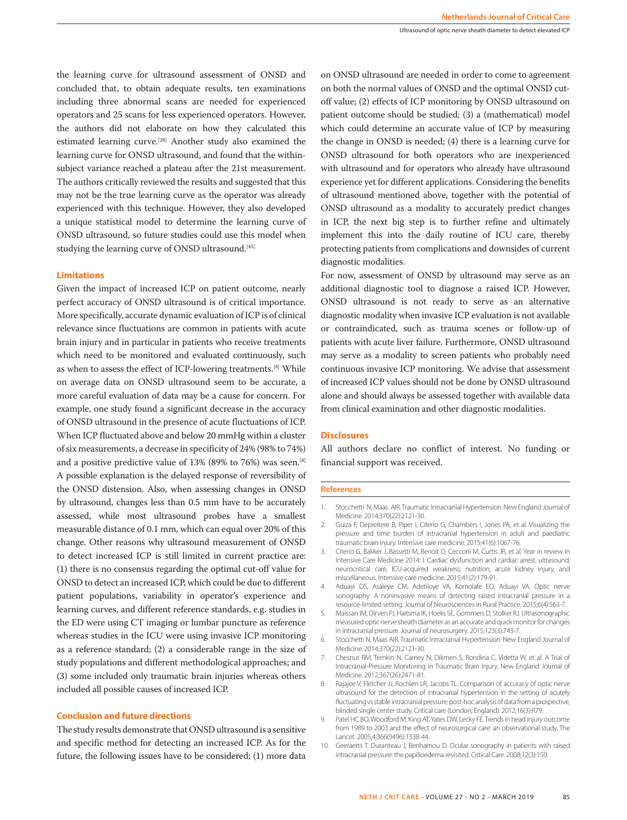the learning curve for ultrasound assessment of ONSD and concluded that, to obtain adequate results, ten examinations including three abnormal scans are needed for experienced operators and 25 scans for less experienced operators. However, the authors did not elaborate on how they calculated this estimated learning curve.[28] Another study also examined the learning curve for ONSD ultrasound, and found that the withinsubject variance reached a plateau after the 21st measurement. The authors critically reviewed the results and suggested that this may not be the true learning curve as the operator was already experienced with this technique. However, they also developed a unique statistical model to determine the learning curve of ONSD ultrasound, so future studies could use this model when studying the learning curve of ONSD ultrasound.<sup>[45]</sup>

#### **Limitations**

Given the impact of increased ICP on patient outcome, nearly perfect accuracy of ONSD ultrasound is of critical importance. More specifically, accurate dynamic evaluation of ICP is of clinical relevance since fluctuations are common in patients with acute brain injury and in particular in patients who receive treatments which need to be monitored and evaluated continuously, such as when to assess the effect of ICP-lowering treatments.[8] While on average data on ONSD ultrasound seem to be accurate, a more careful evaluation of data may be a cause for concern. For example, one study found a significant decrease in the accuracy of ONSD ultrasound in the presence of acute fluctuations of ICP. When ICP fluctuated above and below 20 mmHg within a cluster of six measurements, a decrease in specificity of 24% (98% to 74%) and a positive predictive value of 13% (89% to 76%) was seen.<sup>[8]</sup> A possible explanation is the delayed response of reversibility of the ONSD distension. Also, when assessing changes in ONSD by ultrasound, changes less than 0.5 mm have to be accurately assessed, while most ultrasound probes have a smallest measurable distance of 0.1 mm, which can equal over 20% of this change. Other reasons why ultrasound measurement of ONSD to detect increased ICP is still limited in current practice are: (1) there is no consensus regarding the optimal cut-off value for ONSD to detect an increased ICP, which could be due to different patient populations, variability in operator's experience and learning curves, and different reference standards, e.g. studies in the ED were using CT imaging or lumbar puncture as reference whereas studies in the ICU were using invasive ICP monitoring as a reference standard; (2) a considerable range in the size of study populations and different methodological approaches; and (3) some included only traumatic brain injuries whereas others included all possible causes of increased ICP.

#### **Conclusion and future directions**

The study results demonstrate that ONSD ultrasound is a sensitive and specific method for detecting an increased ICP. As for the future, the following issues have to be considered: (1) more data on ONSD ultrasound are needed in order to come to agreement on both the normal values of ONSD and the optimal ONSD cutoff value; (2) effects of ICP monitoring by ONSD ultrasound on patient outcome should be studied; (3) a (mathematical) model which could determine an accurate value of ICP by measuring the change in ONSD is needed; (4) there is a learning curve for ONSD ultrasound for both operators who are inexperienced with ultrasound and for operators who already have ultrasound experience yet for different applications. Considering the benefits of ultrasound mentioned above, together with the potential of ONSD ultrasound as a modality to accurately predict changes in ICP, the next big step is to further refine and ultimately implement this into the daily routine of ICU care, thereby protecting patients from complications and downsides of current diagnostic modalities.

For now, assessment of ONSD by ultrasound may serve as an additional diagnostic tool to diagnose a raised ICP. However, ONSD ultrasound is not ready to serve as an alternative diagnostic modality when invasive ICP evaluation is not available or contraindicated, such as trauma scenes or follow-up of patients with acute liver failure. Furthermore, ONSD ultrasound may serve as a modality to screen patients who probably need continuous invasive ICP monitoring. We advise that assessment of increased ICP values should not be done by ONSD ultrasound alone and should always be assessed together with available data from clinical examination and other diagnostic modalities.

#### **Disclosures**

All authors declare no conflict of interest. No funding or financial support was received.

#### **References**

- 1. Stocchetti N, Maas AIR. Traumatic Intracranial Hypertension. New England Journal of Medicine. 2014;370(22):2121-30.
- 2. Guiza F, Depreitere B, Piper I, Citerio G, Chambers I, Jones PA, et al. Visualizing the pressure and time burden of intracranial hypertension in adult and paediatric traumatic brain injury. Intensive care medicine. 2015;41(6):1067-76.
- 3. Citerio G, Bakker J, Bassetti M, Benoit D, Cecconi M, Curtis JR, et al. Year in review in Intensive Care Medicine 2014: I. Cardiac dysfunction and cardiac arrest, ultrasound, neurocritical care, ICU-acquired weakness, nutrition, acute kidney injury, and miscellaneous. Intensive care medicine. 2015;41(2):179-91.
- 4. Aduayi OS, Asaleye CM, Adetiloye VA, Komolafe EO, Aduayi VA. Optic nerve sonography: A noninvasive means of detecting raised intracranial pressure in a resource-limited setting. Journal of Neurosciences in Rural Practice. 2015;6(4):563-7.
- 5. Maissan IM, Dirven PJ, Haitsma IK, Hoeks SE, Gommers D, Stolker RJ. Ultrasonographic measured optic nerve sheath diameter as an accurate and quick monitor for changes in intracranial pressure. Journal of neurosurgery. 2015;123(3):743-7.
- 6. Stocchetti N, Maas AIR. Traumatic Intracranial Hypertension. New England Journal of Medicine. 2014;370(22):2121-30.
- 7. Chesnut RM, Temkin N, Carney N, Dikmen S, Rondina C, Videtta W, et al. A Trial of Intracranial-Pressure Monitoring in Traumatic Brain Injury. New England Journal of Medicine. 2012;367(26):2471-81.
- 8. Rajajee V, Fletcher JJ, Rochlen LR, Jacobs TL. Comparison of accuracy of optic nerve ultrasound for the detection of intracranial hypertension in the setting of acutely fluctuating vs stable intracranial pressure: post-hoc analysis of data from a prospective, blinded single center study. Critical care (London, England). 2012;16(3):R79.
- 9. Patel HC BO, Woodford M, King AT, Yates DW, Lecky FE. Trends in head injury outcome from 1989 to 2003 and the effect of neurosurgical care: an observational study. The Lancet. 2005;4;366(9496):1538-44.
- 10. Geeraerts T, Duranteau J, Benhamou D. Ocular sonography in patients with raised intracranial pressure: the papilloedema revisited. Critical Care. 2008;12(3):150.